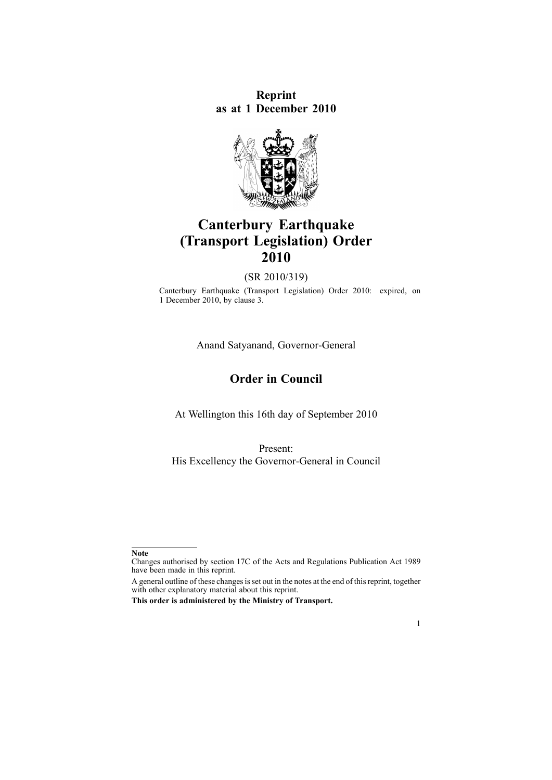**Reprint as at 1 December 2010**



# **Canterbury Earthquake (Transport Legislation) Order 2010**

(SR 2010/319)

Canterbury Earthquake (Transport Legislation) Order 2010: expired, on 1 December 2010, by [clause](http://www.legislation.govt.nz/pdflink.aspx?id=DLM3240314) 3.

Anand Satyanand, Governor-General

## **Order in Council**

At Wellington this 16th day of September 2010

Present: His Excellency the Governor-General in Council



**Note**

Changes authorised by [section](http://www.legislation.govt.nz/pdflink.aspx?id=DLM195466) 17C of the Acts and Regulations Publication Act 1989 have been made in this reprint.

A general outline of these changes is set out in the notes at the end of this reprint, together with other explanatory material about this reprint.

**This order is administered by the Ministry of Transport.**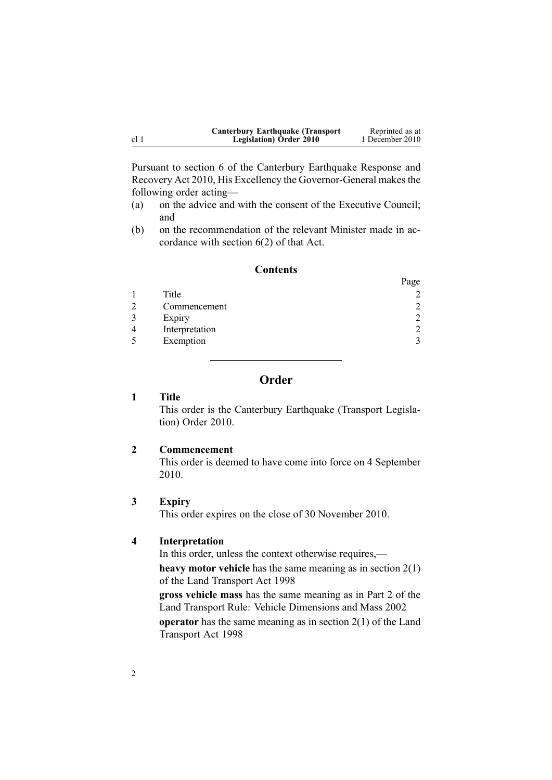<span id="page-1-0"></span>

| <b>Canterbury Earthquake (Transport)</b> | Reprinted as at |
|------------------------------------------|-----------------|
| <b>Legislation</b> ) Order 2010          | 1 December 2010 |

Pursuant to [section](http://www.legislation.govt.nz/pdflink.aspx?id=DLM3233036) 6 of the Canterbury Earthquake Response and Recovery Act 2010, His Excellency the Governor-General makes the following order acting—

- (a) on the advice and with the consent of the Executive Council; and
- (b) on the recommendation of the relevant Minister made in accordance with [section](http://www.legislation.govt.nz/pdflink.aspx?id=DLM3233036) 6(2) of that Act.

## **Contents**

 $D_{20}$ 

|                | $\mathbf{u} \in \mathcal{L}$ |
|----------------|------------------------------|
| Title          |                              |
| Commencement   | $\mathcal{D}$                |
| Expiry         |                              |
| Interpretation |                              |
| Exemption      |                              |

## **Order**

#### **1 Title**

This order is the Canterbury Earthquake (Transport Legislation) Order 2010.

#### **2 Commencement**

This order is deemed to have come into force on 4 September 2010.

## **3 Expiry**

This order expires on the close of 30 November 2010.

## **4 Interpretation**

In this order, unless the context otherwise requires,—

**heavy motor vehicle** has the same meaning as in [section](http://www.legislation.govt.nz/pdflink.aspx?id=DLM433619) 2(1) of the Land Transport Act 1998

**gross vehicle mass** has the same meaning as in Part 2 of the Land Transport Rule: Vehicle Dimensions and Mass 2002 **operator** has the same meaning as in [section](http://www.legislation.govt.nz/pdflink.aspx?id=DLM433619) 2(1) of the Land Transport Act 1998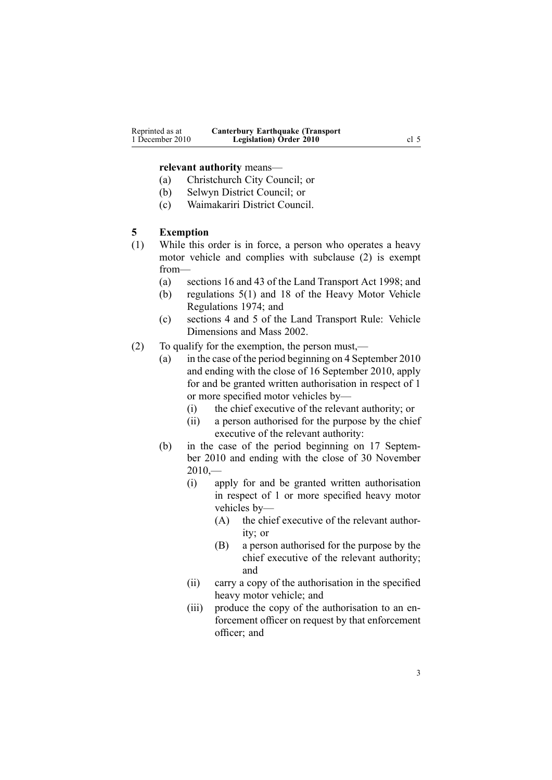#### <span id="page-2-0"></span>**relevant authority** means—

- (a) Christchurch City Council; or
- (b) Selwyn District Council; or
- (c) Waimakariri District Council.

#### **5 Exemption**

- (1) While this order is in force, <sup>a</sup> person who operates <sup>a</sup> heavy motor vehicle and complies with subclause (2) is exemp<sup>t</sup> from—
	- (a) sections 16 and 43 of the Land Transport Act 1998; and
	- (b) regu[lations](http://www.legislation.govt.nz/pdflink.aspx?id=DLM44377) 5(1) and [18](http://www.legislation.govt.nz/pdflink.aspx?id=DLM44762) of the Heavy Motor Vehicle Regulations 1974; and
	- (c) sections 4 and 5 of the Land Transport Rule: Vehicle Dimensions and Mass 2002.
- (2) To qualify for the exemption, the person must,—
	- (a) in the case of the period beginning on 4 September 2010 and ending with the close of 16 September 2010, apply for and be granted written authorisation in respec<sup>t</sup> of 1 or more specified motor vehicles by—
		- (i) the chief executive of the relevant authority; or
		- (ii) <sup>a</sup> person authorised for the purpose by the chief executive of the relevant authority:
	- (b) in the case of the period beginning on 17 September 2010 and ending with the close of 30 November  $2010, -$ 
		- (i) apply for and be granted written authorisation in respec<sup>t</sup> of 1 or more specified heavy motor vehicles by—
			- (A) the chief executive of the relevant authority; or
			- (B) <sup>a</sup> person authorised for the purpose by the chief executive of the relevant authority; and
		- (ii) carry <sup>a</sup> copy of the authorisation in the specified heavy motor vehicle; and
		- (iii) produce the copy of the authorisation to an enforcement officer on reques<sup>t</sup> by that enforcement officer; and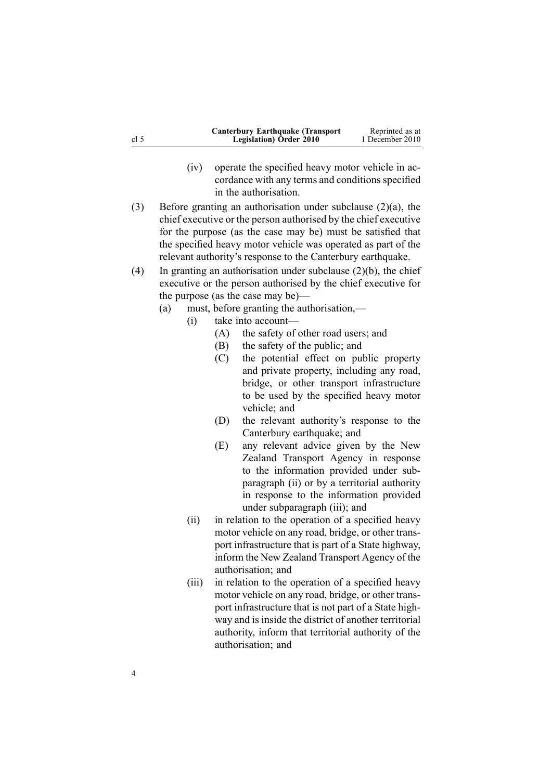| cl 5 | <b>Canterbury Earthquake (Transport</b> )<br><b>Legislation</b> ) Order 2010 | Reprinted as at<br>1 December 2010 |
|------|------------------------------------------------------------------------------|------------------------------------|
|      |                                                                              |                                    |

- (iv) operate the specified heavy motor vehicle in accordance with any terms and conditions specified in the authorisation.
- (3) Before granting an authorisation under subclause (2)(a), the chief executive or the person authorised by the chief executive for the purpose (as the case may be) must be satisfied that the specified heavy motor vehicle was operated as par<sup>t</sup> of the relevant authority's response to the Canterbury earthquake.
- (4) In granting an authorisation under subclause  $(2)(b)$ , the chief executive or the person authorised by the chief executive for the purpose (as the case may be)—
	- (a) must, before granting the authorisation,—
		- (i) take into account—
			- (A) the safety of other road users; and
			- (B) the safety of the public; and
			- (C) the potential effect on public property and private property, including any road, bridge, or other transport infrastructure to be used by the specified heavy motor vehicle; and
			- (D) the relevant authority's response to the Canterbury earthquake; and
			- (E) any relevant advice given by the New Zealand Transport Agency in response to the information provided under subparagraph (ii) or by <sup>a</sup> territorial authority in response to the information provided under subparagraph (iii); and
			- (ii) in relation to the operation of <sup>a</sup> specified heavy motor vehicle on any road, bridge, or other transpor<sup>t</sup> infrastructure that is par<sup>t</sup> of <sup>a</sup> State highway, inform the New Zealand Transport Agency of the authorisation; and
			- (iii) in relation to the operation of <sup>a</sup> specified heavy motor vehicle on any road, bridge, or other transpor<sup>t</sup> infrastructure that is not par<sup>t</sup> of <sup>a</sup> State highway and is inside the district of another territorial authority, inform that territorial authority of the authorisation; and

4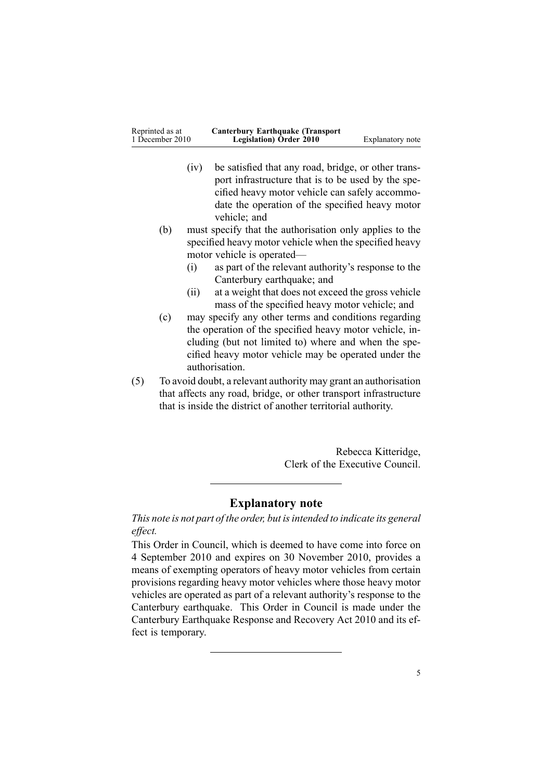| Reprinted as at | <b>Canterbury Earthquake (Transport</b> ) |                  |
|-----------------|-------------------------------------------|------------------|
| 1 December 2010 | <b>Legislation</b> ) Order 2010           | Explanatory note |

- (iv) be satisfied that any road, bridge, or other transpor<sup>t</sup> infrastructure that is to be used by the specified heavy motor vehicle can safely accommodate the operation of the specified heavy motor vehicle; and
- (b) must specify that the authorisation only applies to the specified heavy motor vehicle when the specified heavy motor vehicle is operated—
	- (i) as par<sup>t</sup> of the relevant authority's response to the Canterbury earthquake; and
	- (ii) at <sup>a</sup> weight that does not exceed the gross vehicle mass of the specified heavy motor vehicle; and
- (c) may specify any other terms and conditions regarding the operation of the specified heavy motor vehicle, including (but not limited to) where and when the specified heavy motor vehicle may be operated under the authorisation.
- (5) To avoid doubt, <sup>a</sup> relevant authority may gran<sup>t</sup> an authorisation that affects any road, bridge, or other transport infrastructure that is inside the district of another territorial authority.

Rebecca Kitteridge, Clerk of the Executive Council.

## **Explanatory note**

*This note is not par<sup>t</sup> of the order, but isintended to indicate its general effect.*

This Order in Council, which is deemed to have come into force on 4 September 2010 and expires on 30 November 2010, provides <sup>a</sup> means of exempting operators of heavy motor vehicles from certain provisions regarding heavy motor vehicles where those heavy motor vehicles are operated as par<sup>t</sup> of <sup>a</sup> relevant authority's response to the Canterbury earthquake. This Order in Council is made under the Canterbury [Earthquake](http://www.legislation.govt.nz/pdflink.aspx?id=DLM3233000) Response and Recovery Act 2010 and its effect is temporary.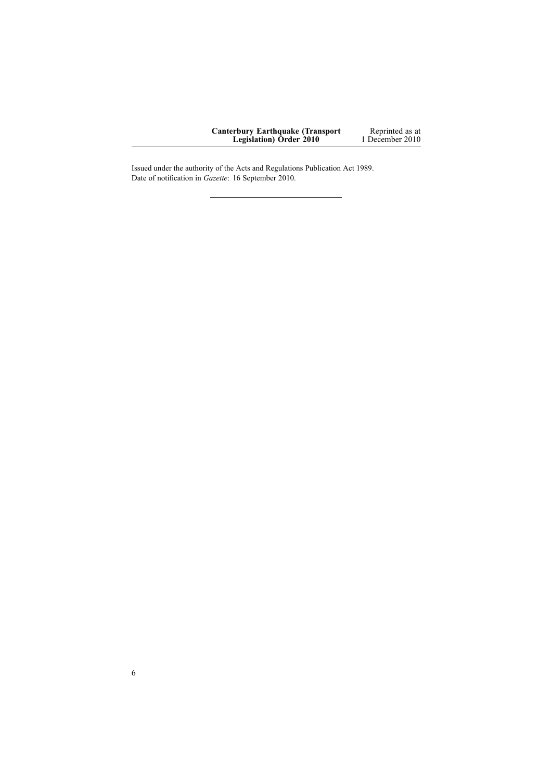| <b>Canterbury Earthquake (Transport</b> ) | Reprinted as at |
|-------------------------------------------|-----------------|
| <b>Legislation</b> ) Order 2010           | 1 December 2010 |

Issued under the authority of the Acts and [Regulations](http://www.legislation.govt.nz/pdflink.aspx?id=DLM195097) Publication Act 1989. Date of notification in *Gazette*: 16 September 2010.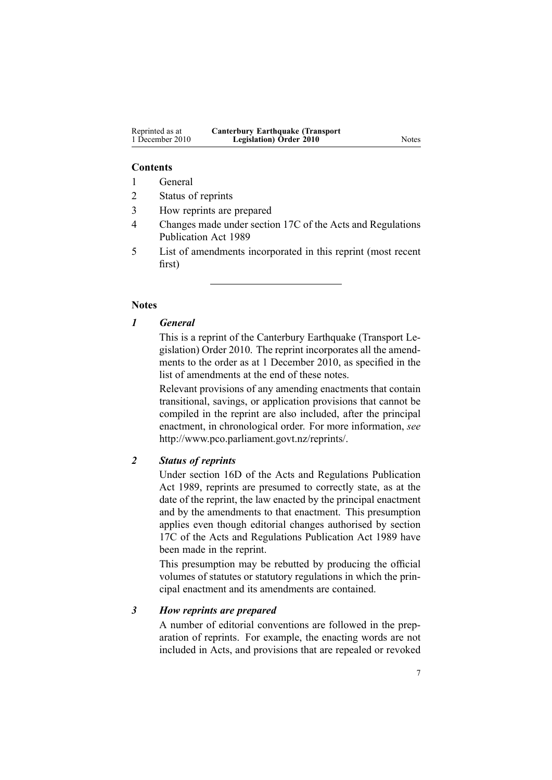## **Contents**

- 1 General
- 2 Status of reprints
- 3 How reprints are prepared
- 4 Changes made under section 17C of the Acts and Regulations Publication Act 1989
- 5 List of amendments incorporated in this reprint (most recent first)

## **Notes**

## *1 General*

This is <sup>a</sup> reprint of the Canterbury Earthquake (Transport Legislation) Order 2010. The reprint incorporates all the amendments to the order as at 1 December 2010, as specified in the list of amendments at the end of these notes.

Relevant provisions of any amending enactments that contain transitional, savings, or application provisions that cannot be compiled in the reprint are also included, after the principal enactment, in chronological order. For more information, *see* <http://www.pco.parliament.govt.nz/reprints/>.

## *2 Status of reprints*

Under [section](http://www.legislation.govt.nz/pdflink.aspx?id=DLM195439) 16D of the Acts and Regulations Publication Act 1989, reprints are presumed to correctly state, as at the date of the reprint, the law enacted by the principal enactment and by the amendments to that enactment. This presumption applies even though editorial changes authorised by [section](http://www.legislation.govt.nz/pdflink.aspx?id=DLM195466) [17C](http://www.legislation.govt.nz/pdflink.aspx?id=DLM195466) of the Acts and Regulations Publication Act 1989 have been made in the reprint.

This presumption may be rebutted by producing the official volumes of statutes or statutory regulations in which the principal enactment and its amendments are contained.

#### *3 How reprints are prepared*

A number of editorial conventions are followed in the preparation of reprints. For example, the enacting words are not included in Acts, and provisions that are repealed or revoked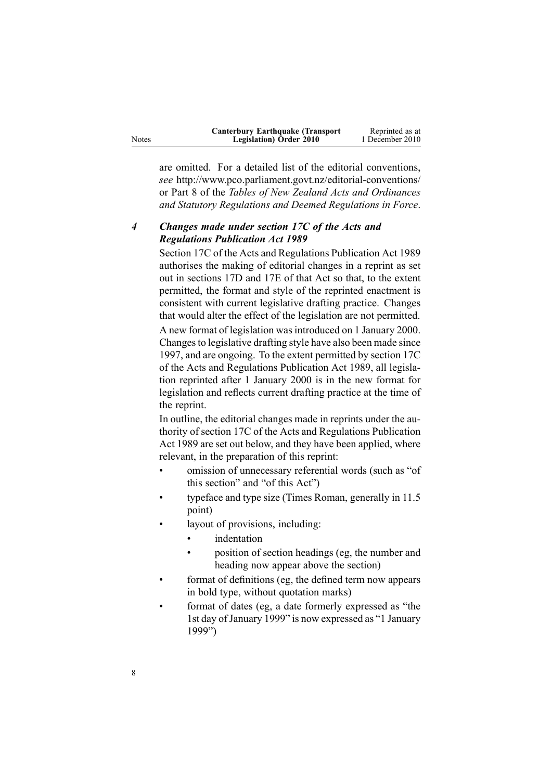| <b>Canterbury Earthquake (Transport)</b> | Reprinted as at |
|------------------------------------------|-----------------|
| <b>Legislation</b> ) Order 2010          | 1 December 2010 |

are omitted. For <sup>a</sup> detailed list of the editorial conventions, *see* [http://www.pco.parliament.govt.nz/editorial-conventions/](http://www.pco.parliament.govt.nz/editorial-conventions/ ) or Part 8 of the *Tables of New Zealand Acts and Ordinances and Statutory Regulations and Deemed Regulations in Force*.

## *4 Changes made under section 17C of the Acts and Regulations Publication Act 1989*

[Section](http://www.legislation.govt.nz/pdflink.aspx?id=DLM195466) 17C of the Acts and Regulations Publication Act 1989 authorises the making of editorial changes in <sup>a</sup> reprint as set out in [sections](http://www.legislation.govt.nz/pdflink.aspx?id=DLM195468) 17D and [17E](http://www.legislation.govt.nz/pdflink.aspx?id=DLM195470) of that Act so that, to the extent permitted, the format and style of the reprinted enactment is consistent with current legislative drafting practice. Changes that would alter the effect of the legislation are not permitted.

A new format of legislation wasintroduced on 1 January 2000. Changesto legislative drafting style have also been made since 1997, and are ongoing. To the extent permitted by [section](http://www.legislation.govt.nz/pdflink.aspx?id=DLM195466) 17C of the Acts and Regulations Publication Act 1989, all legislation reprinted after 1 January 2000 is in the new format for legislation and reflects current drafting practice at the time of the reprint.

In outline, the editorial changes made in reprints under the authority of [section](http://www.legislation.govt.nz/pdflink.aspx?id=DLM195466) 17C of the Acts and Regulations Publication Act 1989 are set out below, and they have been applied, where relevant, in the preparation of this reprint:

- • omission of unnecessary referential words (such as "of this section" and "of this Act")
- • typeface and type size (Times Roman, generally in 11.5 point)
- • layout of provisions, including:
	- •indentation
	- • position of section headings (eg, the number and heading now appear above the section)
- • format of definitions (eg, the defined term now appears in bold type, without quotation marks)
- • format of dates (eg, <sup>a</sup> date formerly expressed as "the 1st day of January 1999" is now expressed as "1 January 1999")

Notes